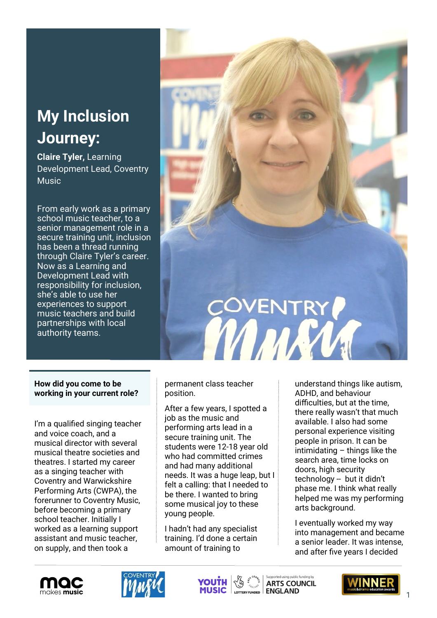## **My Inclusion Journey:**

**Claire Tyler,** Learning Development Lead, Coventry **Music** 

From early work as a primary school music teacher, to a senior management role in a secure training unit, inclusion has been a thread running through Claire Tyler's career. Now as a Learning and Development Lead with responsibility for inclusion, she's able to use her experiences to support music teachers and build partnerships with local authority teams.



## **How did you come to be working in your current role?**

I'm a qualified singing teacher and voice coach, and a musical director with several musical theatre societies and theatres. I started my career as a singing teacher with Coventry and Warwickshire Performing Arts (CWPA), the forerunner to Coventry Music, before becoming a primary school teacher. Initially I worked as a learning support assistant and music teacher, on supply, and then took a

permanent class teacher position.

After a few years, I spotted a job as the music and performing arts lead in a secure training unit. The students were 12-18 year old who had committed crimes and had many additional needs. It was a huge leap, but I felt a calling: that I needed to be there. I wanted to bring some musical joy to these young people.

I hadn't had any specialist training. I'd done a certain amount of training to

understand things like autism, ADHD, and behaviour difficulties, but at the time, there really wasn't that much available. I also had some personal experience visiting people in prison. It can be intimidating – things like the search area, time locks on doors, high security technology -- but it didn't phase me. I think what really helped me was my performing arts background.

I eventually worked my way into management and became a senior leader. It was intense, and after five years I decided









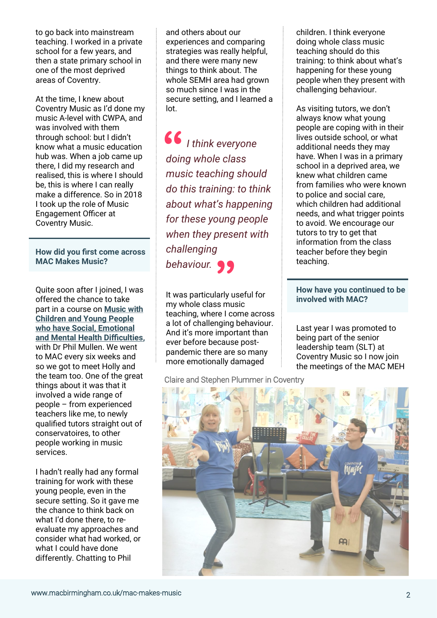to go back into mainstream teaching. I worked in a private school for a few years, and then a state primary school in one of the most deprived areas of Coventry.

At the time, I knew about Coventry Music as I'd done my music A-level with CWPA, and was involved with them through school: but I didn't know what a music education hub was. When a job came up there, I did my research and realised, this is where I should be, this is where I can really make a difference. So in 2018 I took up the role of Music Engagement Officer at Coventry Music.

**How did you first come across MAC Makes Music?**

Quite soon after I joined, I was offered the chance to take part in a course on **[Music with](https://macbirmingham.co.uk/mac-makes-music/hubs-training/music-and-young-people-with-social-emotional-and-mental-health-difficulties)  [Children and Young People](https://macbirmingham.co.uk/mac-makes-music/hubs-training/music-and-young-people-with-social-emotional-and-mental-health-difficulties)  [who have Social, Emotional](https://macbirmingham.co.uk/mac-makes-music/hubs-training/music-and-young-people-with-social-emotional-and-mental-health-difficulties)  [and Mental Health Difficulties,](https://macbirmingham.co.uk/mac-makes-music/hubs-training/music-and-young-people-with-social-emotional-and-mental-health-difficulties)**  with Dr Phil Mullen. We went to MAC every six weeks and so we got to meet Holly and the team too. One of the great things about it was that it involved a wide range of people – from experienced teachers like me, to newly qualified tutors straight out of conservatoires, to other people working in music services.

I hadn't really had any formal training for work with these young people, even in the secure setting. So it gave me the chance to think back on what I'd done there, to reevaluate my approaches and consider what had worked, or what I could have done differently. Chatting to Phil

and others about our experiences and comparing strategies was really helpful, and there were many new things to think about. The whole SEMH area had grown so much since I was in the secure setting, and I learned a lot.

*I think everyone doing whole class music teaching should do this training: to think about what's happening for these young people when they present with challenging behaviour.* **" 66**<br>doir

It was particularly useful for my whole class music teaching, where I come across a lot of challenging behaviour. And it's more important than ever before because postpandemic there are so many more emotionally damaged

Claire and Stephen Plummer in Coventry

children. I think everyone doing whole class music teaching should do this training: to think about what's happening for these young people when they present with challenging behaviour.

As visiting tutors, we don't always know what young people are coping with in their lives outside school, or what additional needs they may have. When I was in a primary school in a deprived area, we knew what children came from families who were known to police and social care, which children had additional needs, and what trigger points to avoid. We encourage our tutors to try to get that information from the class teacher before they begin teaching.

## **How have you continued to be involved with MAC?**

Last year I was promoted to being part of the senior leadership team (SLT) at Coventry Music so I now join the meetings of the MAC MEH

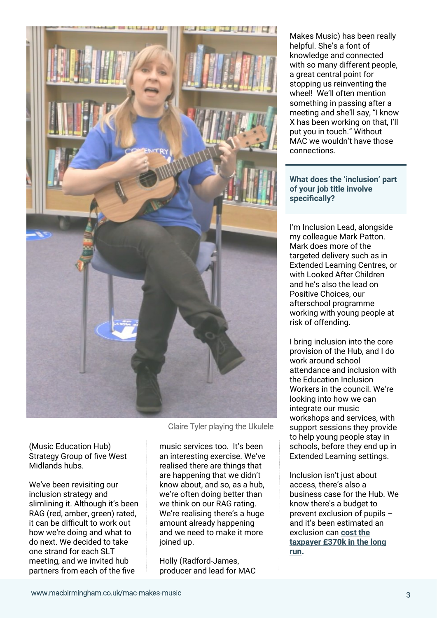

(Music Education Hub) Strategy Group of five West Midlands hubs.

We've been revisiting our inclusion strategy and slimlining it. Although it's been RAG (red, amber, green) rated, it can be difficult to work out how we're doing and what to do next. We decided to take one strand for each SLT meeting, and we invited hub partners from each of the five

Claire Tyler playing the Ukulele

music services too. It's been an interesting exercise. We've realised there are things that are happening that we didn't know about, and so, as a hub, we're often doing better than we think on our RAG rating. We're realising there's a huge amount already happening and we need to make it more joined up.

Holly (Radford-James, producer and lead for MAC Makes Music) has been really helpful. She's a font of knowledge and connected with so many different people, a great central point for stopping us reinventing the wheel! We'll often mention something in passing after a meeting and she'll say, "I know X has been working on that, I'll put you in touch." Without MAC we wouldn't have those connections.

**What does the 'inclusion' part of your job title involve specifically?**

I'm Inclusion Lead, alongside my colleague Mark Patton. Mark does more of the targeted delivery such as in Extended Learning Centres, or with Looked After Children and he's also the lead on Positive Choices, our afterschool programme working with young people at risk of offending.

I bring inclusion into the core provision of the Hub, and I do work around school attendance and inclusion with the Education Inclusion Workers in the council. We're looking into how we can integrate our music workshops and services, with support sessions they provide to help young people stay in schools, before they end up in Extended Learning settings.

Inclusion isn't just about access, there's also a business case for the Hub. We know there's a budget to prevent exclusion of pupils – and it's been estimated an exclusion can **[cost the](https://www.tes.com/magazine/archive/excluding-pupil-costs-taxpayer-ps370k)  [taxpayer £370k in the long](https://www.tes.com/magazine/archive/excluding-pupil-costs-taxpayer-ps370k)  [run.](https://www.tes.com/magazine/archive/excluding-pupil-costs-taxpayer-ps370k)**